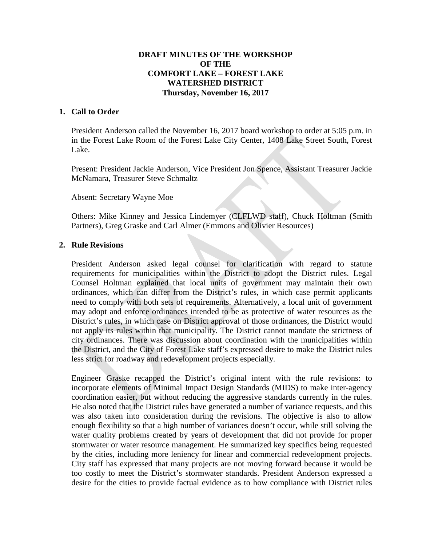# **DRAFT MINUTES OF THE WORKSHOP OF THE COMFORT LAKE – FOREST LAKE WATERSHED DISTRICT Thursday, November 16, 2017**

### **1. Call to Order**

President Anderson called the November 16, 2017 board workshop to order at 5:05 p.m. in in the Forest Lake Room of the Forest Lake City Center, 1408 Lake Street South, Forest Lake.

Present: President Jackie Anderson, Vice President Jon Spence, Assistant Treasurer Jackie McNamara, Treasurer Steve Schmaltz

Absent: Secretary Wayne Moe

Others: Mike Kinney and Jessica Lindemyer (CLFLWD staff), Chuck Holtman (Smith Partners), Greg Graske and Carl Almer (Emmons and Olivier Resources)

#### **2. Rule Revisions**

President Anderson asked legal counsel for clarification with regard to statute requirements for municipalities within the District to adopt the District rules. Legal Counsel Holtman explained that local units of government may maintain their own ordinances, which can differ from the District's rules, in which case permit applicants need to comply with both sets of requirements. Alternatively, a local unit of government may adopt and enforce ordinances intended to be as protective of water resources as the District's rules, in which case on District approval of those ordinances, the District would not apply its rules within that municipality. The District cannot mandate the strictness of city ordinances. There was discussion about coordination with the municipalities within the District, and the City of Forest Lake staff's expressed desire to make the District rules less strict for roadway and redevelopment projects especially.

Engineer Graske recapped the District's original intent with the rule revisions: to incorporate elements of Minimal Impact Design Standards (MIDS) to make inter-agency coordination easier, but without reducing the aggressive standards currently in the rules. He also noted that the District rules have generated a number of variance requests, and this was also taken into consideration during the revisions. The objective is also to allow enough flexibility so that a high number of variances doesn't occur, while still solving the water quality problems created by years of development that did not provide for proper stormwater or water resource management. He summarized key specifics being requested by the cities, including more leniency for linear and commercial redevelopment projects. City staff has expressed that many projects are not moving forward because it would be too costly to meet the District's stormwater standards. President Anderson expressed a desire for the cities to provide factual evidence as to how compliance with District rules